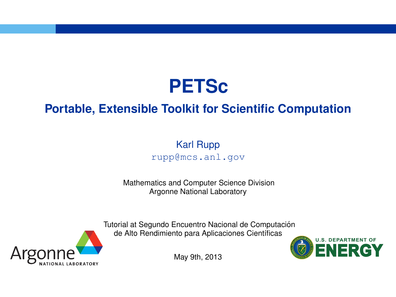

# **Portable, Extensible Toolkit for Scientific Computation**

#### Karl Rupp rupp@mcs.anl.gov

Mathematics and Computer Science Division Argonne National Laboratory



Tutorial at Segundo Encuentro Nacional de Computación de Alto Rendimiento para Aplicaciones Científicas



May 9th, 2013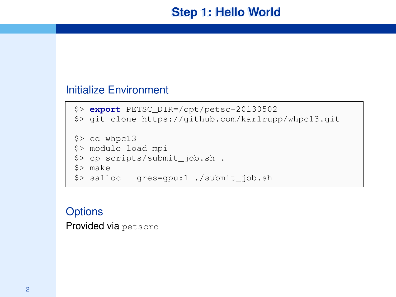# **Step 1: Hello World**

#### Initialize Environment

```
$> export PETSC_DIR=/opt/petsc-20130502
$> git clone https://github.com/karlrupp/whpc13.git
$> cd whpc13
$> module load mpi
$> cp scripts/submit_job.sh .
$> make
$> salloc --gres=gpu:1 ./submit_job.sh
```
#### **Options**

Provided via petscrc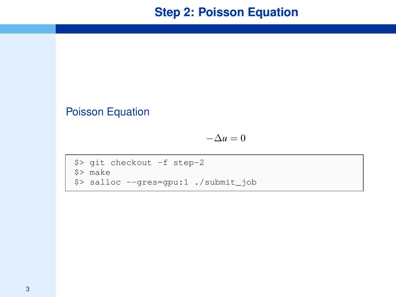# **Step 2: Poisson Equation**

#### Poisson Equation

 $-\Delta u = 0$ 

```
$> git checkout -f step-2
$> make
$> salloc --gres=gpu:1 ./submit_job
```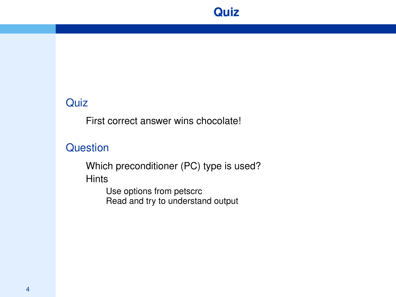

#### **Quiz**

First correct answer wins chocolate!

### **Question**

Which preconditioner (PC) type is used? **Hints** 

Use options from petscrc Read and try to understand output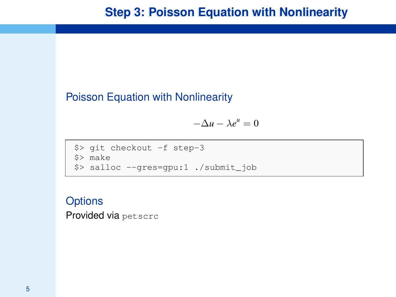### Poisson Equation with Nonlinearity

 $-\Delta u - \lambda e^u = 0$ 

```
$> git checkout -f step-3
$> make
$> salloc --gres=gpu:1 ./submit_job
```
## **Options** Provided via petscrc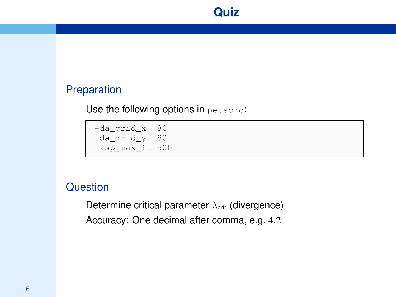#### Preparation

Use the following options in petscrc:

-da\_grid\_x 80 -da\_grid\_y 80 -ksp\_max\_it 500

### **Question**

Determine critical parameter  $\lambda_{\text{crit}}$  (divergence) Accuracy: One decimal after comma, e.g. 4.2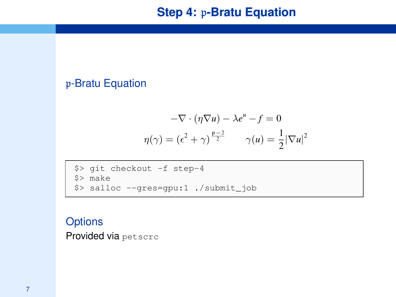# p-Bratu Equation

$$
-\nabla \cdot (\eta \nabla u) - \lambda e^u - f = 0
$$

$$
\eta(\gamma) = (\epsilon^2 + \gamma)^{\frac{p-2}{2}} \qquad \gamma(u) = \frac{1}{2} |\nabla u|^2
$$

\$> git checkout -f step-4 \$> make \$> salloc --gres=gpu:1 ./submit\_job

#### **Options**

Provided via petscrc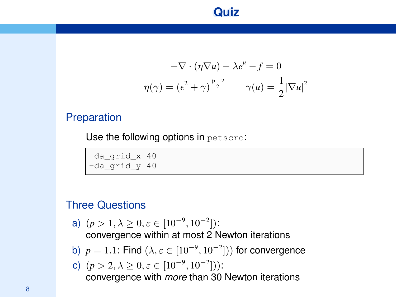# **Quiz**

$$
-\nabla \cdot (\eta \nabla u) - \lambda e^u - f = 0
$$

$$
\eta(\gamma) = (\epsilon^2 + \gamma)^{\frac{p-2}{2}} \qquad \gamma(u) = \frac{1}{2} |\nabla u|^2
$$

#### Preparation

Use the following options in petscrc:

-da\_grid\_x 40 -da\_grid\_y 40

### Three Questions

- a)  $(p > 1, \lambda \ge 0, \varepsilon \in [10^{-9}, 10^{-2}])$ : convergence within at most 2 Newton iterations
- b)  $p = 1.1$ : Find  $(\lambda, \varepsilon \in [10^{-9}, 10^{-2}])$  for convergence

c) 
$$
(p > 2, \lambda \ge 0, \varepsilon \in [10^{-9}, 10^{-2}])
$$
:  
convergence with *more* than 30 Newton iterations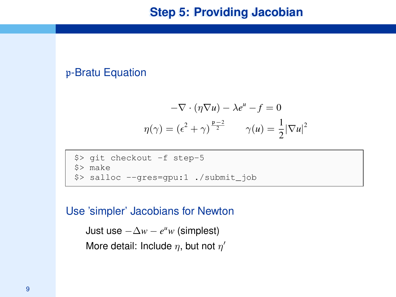#### p-Bratu Equation

$$
-\nabla \cdot (\eta \nabla u) - \lambda e^u - f = 0
$$

$$
\eta(\gamma) = (e^2 + \gamma)^{\frac{p-2}{2}} \qquad \gamma(u) = \frac{1}{2} |\nabla u|^2
$$

\$> git checkout -f step-5 \$> make \$> salloc --gres=gpu:1 ./submit\_job

#### Use 'simpler' Jacobians for Newton

```
Just use -\Delta w - e^u w (simplest)
More detail: Include \eta, but not \eta'
```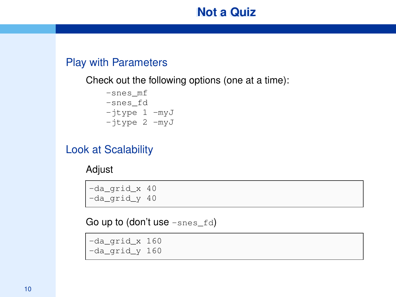# **Not a Quiz**

### Play with Parameters

Check out the following options (one at a time):

```
-snes_mf
-snes_fd
-jtype 1 -myJ-jtype 2 -myJ
```
### Look at Scalability

Adjust

-da grid x 40 -da grid y 40

Go up to (don't use  $-$ snes  $fd)$ 

-da\_grid\_x 160 -da\_grid\_y 160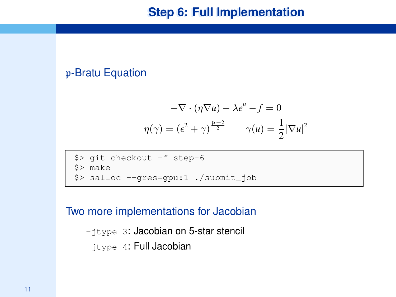#### p-Bratu Equation

$$
-\nabla \cdot (\eta \nabla u) - \lambda e^u - f = 0
$$

$$
\eta(\gamma) = (\epsilon^2 + \gamma)^{\frac{p-2}{2}} \qquad \gamma(u) = \frac{1}{2} |\nabla u|^2
$$

\$> git checkout -f step-6 \$> make \$> salloc --gres=gpu:1 ./submit\_job

#### Two more implementations for Jacobian

-jtype 3: Jacobian on 5-star stencil  $-$ itype 4: Full Jacobian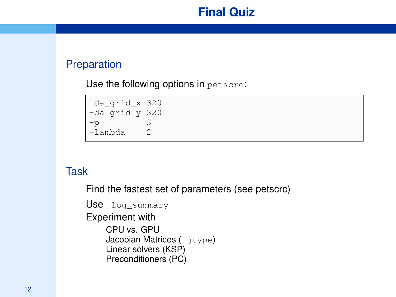# **Final Quiz**

## Preparation

Use the following options in petscrc:

-da\_grid\_x 320 -da\_grid\_y 320  $-p$  3 -lambda 2

## **Task**

Find the fastest set of parameters (see petscrc)

```
Use -log_summary
Experiment with
    CPU vs. GPU
    Jacobian Matrices (-itype)
    Linear solvers (KSP)
    Preconditioners (PC)
```